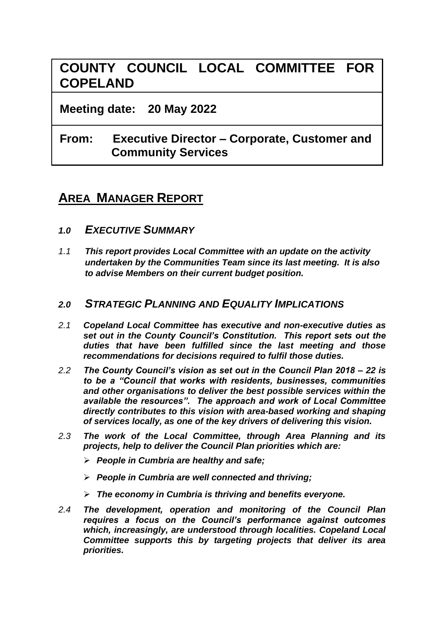# **COUNTY COUNCIL LOCAL COMMITTEE FOR COPELAND**

**Meeting date: 20 May 2022**

# **From: Executive Director – Corporate, Customer and Community Services**

# **AREA MANAGER REPORT**

- *1.0 EXECUTIVE SUMMARY*
- *1.1 This report provides Local Committee with an update on the activity undertaken by the Communities Team since its last meeting. It is also to advise Members on their current budget position.*

### *2.0 STRATEGIC PLANNING AND EQUALITY IMPLICATIONS*

- *2.1 Copeland Local Committee has executive and non-executive duties as set out in the County Council's Constitution. This report sets out the duties that have been fulfilled since the last meeting and those recommendations for decisions required to fulfil those duties.*
- *2.2 The County Council's vision as set out in the Council Plan 2018 – 22 is to be a "Council that works with residents, businesses, communities and other organisations to deliver the best possible services within the available the resources". The approach and work of Local Committee directly contributes to this vision with area-based working and shaping of services locally, as one of the key drivers of delivering this vision.*
- *2.3 The work of the Local Committee, through Area Planning and its projects, help to deliver the Council Plan priorities which are:*
	- ➢ *People in Cumbria are healthy and safe;*
	- ➢ *People in Cumbria are well connected and thriving;*
	- ➢ *The economy in Cumbria is thriving and benefits everyone.*
- *2.4 The development, operation and monitoring of the Council Plan requires a focus on the Council's performance against outcomes which, increasingly, are understood through localities. Copeland Local Committee supports this by targeting projects that deliver its area priorities.*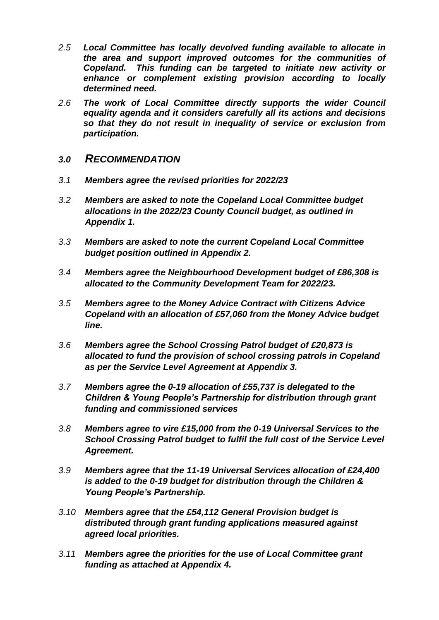- *2.5 Local Committee has locally devolved funding available to allocate in the area and support improved outcomes for the communities of Copeland. This funding can be targeted to initiate new activity or enhance or complement existing provision according to locally determined need.*
- *2.6 The work of Local Committee directly supports the wider Council equality agenda and it considers carefully all its actions and decisions so that they do not result in inequality of service or exclusion from participation.*
- *3.0 RECOMMENDATION*
- *3.1 Members agree the revised priorities for 2022/23*
- *3.2 Members are asked to note the Copeland Local Committee budget allocations in the 2022/23 County Council budget, as outlined in Appendix 1.*
- *3.3 Members are asked to note the current Copeland Local Committee budget position outlined in Appendix 2.*
- *3.4 Members agree the Neighbourhood Development budget of £86,308 is allocated to the Community Development Team for 2022/23.*
- *3.5 Members agree to the Money Advice Contract with Citizens Advice Copeland with an allocation of £57,060 from the Money Advice budget line.*
- *3.6 Members agree the School Crossing Patrol budget of £20,873 is allocated to fund the provision of school crossing patrols in Copeland as per the Service Level Agreement at Appendix 3.*
- *3.7 Members agree the 0-19 allocation of £55,737 is delegated to the Children & Young People's Partnership for distribution through grant funding and commissioned services*
- *3.8 Members agree to vire £15,000 from the 0-19 Universal Services to the School Crossing Patrol budget to fulfil the full cost of the Service Level Agreement.*
- *3.9 Members agree that the 11-19 Universal Services allocation of £24,400 is added to the 0-19 budget for distribution through the Children & Young People's Partnership.*
- *3.10 Members agree that the £54,112 General Provision budget is distributed through grant funding applications measured against agreed local priorities.*
- *3.11 Members agree the priorities for the use of Local Committee grant funding as attached at Appendix 4.*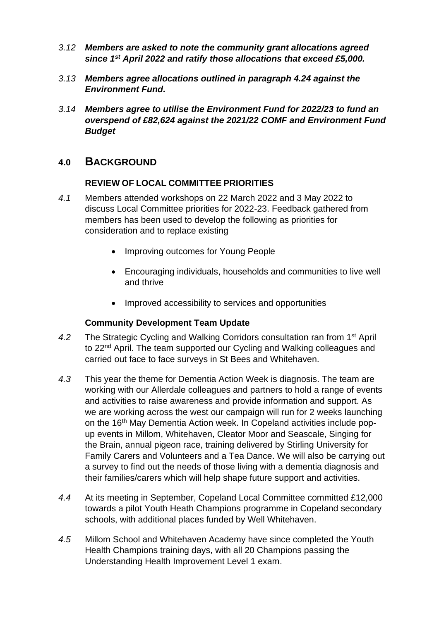- *3.12 Members are asked to note the community grant allocations agreed since 1st April 2022 and ratify those allocations that exceed £5,000.*
- *3.13 Members agree allocations outlined in paragraph 4.24 against the Environment Fund.*
- *3.14 Members agree to utilise the Environment Fund for 2022/23 to fund an overspend of £82,624 against the 2021/22 COMF and Environment Fund Budget*

### **4.0 BACKGROUND**

#### **REVIEW OF LOCAL COMMITTEE PRIORITIES**

- *4.1* Members attended workshops on 22 March 2022 and 3 May 2022 to discuss Local Committee priorities for 2022-23. Feedback gathered from members has been used to develop the following as priorities for consideration and to replace existing
	- Improving outcomes for Young People
	- Encouraging individuals, households and communities to live well and thrive
	- Improved accessibility to services and opportunities

#### **Community Development Team Update**

- *4.2* The Strategic Cycling and Walking Corridors consultation ran from 1st April to 22<sup>nd</sup> April. The team supported our Cycling and Walking colleagues and carried out face to face surveys in St Bees and Whitehaven.
- *4.3* This year the theme for Dementia Action Week is diagnosis. The team are working with our Allerdale colleagues and partners to hold a range of events and activities to raise awareness and provide information and support. As we are working across the west our campaign will run for 2 weeks launching on the 16th May Dementia Action week. In Copeland activities include popup events in Millom, Whitehaven, Cleator Moor and Seascale, Singing for the Brain, annual pigeon race, training delivered by Stirling University for Family Carers and Volunteers and a Tea Dance. We will also be carrying out a survey to find out the needs of those living with a dementia diagnosis and their families/carers which will help shape future support and activities.
- *4.4* At its meeting in September, Copeland Local Committee committed £12,000 towards a pilot Youth Heath Champions programme in Copeland secondary schools, with additional places funded by Well Whitehaven.
- *4.5* Millom School and Whitehaven Academy have since completed the Youth Health Champions training days, with all 20 Champions passing the Understanding Health Improvement Level 1 exam.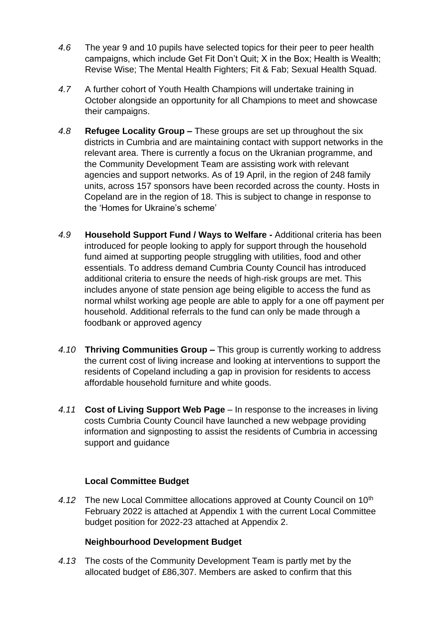- *4.6* The year 9 and 10 pupils have selected topics for their peer to peer health campaigns, which include Get Fit Don't Quit; X in the Box; Health is Wealth; Revise Wise; The Mental Health Fighters; Fit & Fab; Sexual Health Squad.
- *4.7* A further cohort of Youth Health Champions will undertake training in October alongside an opportunity for all Champions to meet and showcase their campaigns.
- *4.8* **Refugee Locality Group –** These groups are set up throughout the six districts in Cumbria and are maintaining contact with support networks in the relevant area. There is currently a focus on the Ukranian programme, and the Community Development Team are assisting work with relevant agencies and support networks. As of 19 April, in the region of 248 family units, across 157 sponsors have been recorded across the county. Hosts in Copeland are in the region of 18. This is subject to change in response to the 'Homes for Ukraine's scheme'
- *4.9* **Household Support Fund / Ways to Welfare -** Additional criteria has been introduced for people looking to apply for support through the household fund aimed at supporting people struggling with utilities, food and other essentials. To address demand Cumbria County Council has introduced additional criteria to ensure the needs of high-risk groups are met. This includes anyone of state pension age being eligible to access the fund as normal whilst working age people are able to apply for a one off payment per household. Additional referrals to the fund can only be made through a foodbank or approved agency
- *4.10* **Thriving Communities Group –** This group is currently working to address the current cost of living increase and looking at interventions to support the residents of Copeland including a gap in provision for residents to access affordable household furniture and white goods.
- *4.11* **Cost of Living Support Web Page**  In response to the increases in living costs Cumbria County Council have launched a new webpage providing information and signposting to assist the residents of Cumbria in accessing support and guidance

#### **Local Committee Budget**

4.12 The new Local Committee allocations approved at County Council on 10<sup>th</sup> February 2022 is attached at Appendix 1 with the current Local Committee budget position for 2022-23 attached at Appendix 2.

#### **Neighbourhood Development Budget**

*4.13* The costs of the Community Development Team is partly met by the allocated budget of £86,307. Members are asked to confirm that this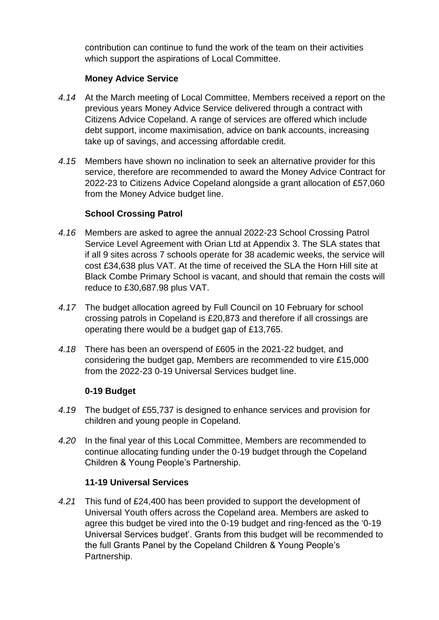contribution can continue to fund the work of the team on their activities which support the aspirations of Local Committee.

#### **Money Advice Service**

- *4.14* At the March meeting of Local Committee, Members received a report on the previous years Money Advice Service delivered through a contract with Citizens Advice Copeland. A range of services are offered which include debt support, income maximisation, advice on bank accounts, increasing take up of savings, and accessing affordable credit.
- *4.15* Members have shown no inclination to seek an alternative provider for this service, therefore are recommended to award the Money Advice Contract for 2022-23 to Citizens Advice Copeland alongside a grant allocation of £57,060 from the Money Advice budget line.

#### **School Crossing Patrol**

- *4.16* Members are asked to agree the annual 2022-23 School Crossing Patrol Service Level Agreement with Orian Ltd at Appendix 3. The SLA states that if all 9 sites across 7 schools operate for 38 academic weeks, the service will cost £34,638 plus VAT. At the time of received the SLA the Horn Hill site at Black Combe Primary School is vacant, and should that remain the costs will reduce to £30,687.98 plus VAT.
- *4.17* The budget allocation agreed by Full Council on 10 February for school crossing patrols in Copeland is £20,873 and therefore if all crossings are operating there would be a budget gap of £13,765.
- *4.18* There has been an overspend of £605 in the 2021-22 budget, and considering the budget gap, Members are recommended to vire £15,000 from the 2022-23 0-19 Universal Services budget line.

#### **0-19 Budget**

- *4.19* The budget of £55,737 is designed to enhance services and provision for children and young people in Copeland.
- *4.20* In the final year of this Local Committee, Members are recommended to continue allocating funding under the 0-19 budget through the Copeland Children & Young People's Partnership.

#### **11-19 Universal Services**

*4.21* This fund of £24,400 has been provided to support the development of Universal Youth offers across the Copeland area. Members are asked to agree this budget be vired into the 0-19 budget and ring-fenced as the '0-19 Universal Services budget'. Grants from this budget will be recommended to the full Grants Panel by the Copeland Children & Young People's Partnership.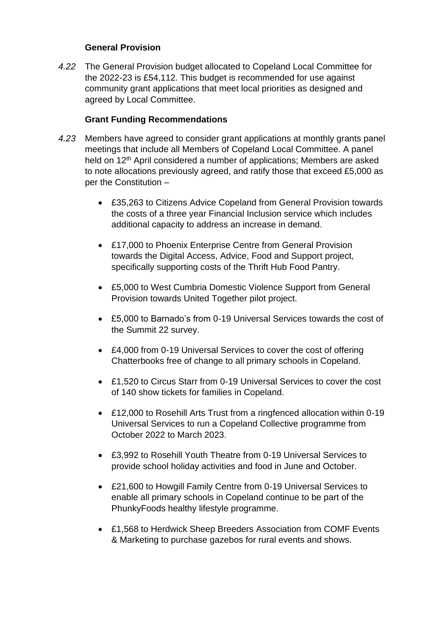#### **General Provision**

*4.22* The General Provision budget allocated to Copeland Local Committee for the 2022-23 is £54,112. This budget is recommended for use against community grant applications that meet local priorities as designed and agreed by Local Committee.

### **Grant Funding Recommendations**

- *4.23* Members have agreed to consider grant applications at monthly grants panel meetings that include all Members of Copeland Local Committee. A panel held on 12<sup>th</sup> April considered a number of applications; Members are asked to note allocations previously agreed, and ratify those that exceed £5,000 as per the Constitution –
	- £35,263 to Citizens Advice Copeland from General Provision towards the costs of a three year Financial Inclusion service which includes additional capacity to address an increase in demand.
	- £17,000 to Phoenix Enterprise Centre from General Provision towards the Digital Access, Advice, Food and Support project, specifically supporting costs of the Thrift Hub Food Pantry.
	- £5,000 to West Cumbria Domestic Violence Support from General Provision towards United Together pilot project.
	- £5,000 to Barnado's from 0-19 Universal Services towards the cost of the Summit 22 survey.
	- £4,000 from 0-19 Universal Services to cover the cost of offering Chatterbooks free of change to all primary schools in Copeland.
	- £1,520 to Circus Starr from 0-19 Universal Services to cover the cost of 140 show tickets for families in Copeland.
	- £12,000 to Rosehill Arts Trust from a ringfenced allocation within 0-19 Universal Services to run a Copeland Collective programme from October 2022 to March 2023.
	- £3,992 to Rosehill Youth Theatre from 0-19 Universal Services to provide school holiday activities and food in June and October.
	- £21,600 to Howgill Family Centre from 0-19 Universal Services to enable all primary schools in Copeland continue to be part of the PhunkyFoods healthy lifestyle programme.
	- £1,568 to Herdwick Sheep Breeders Association from COMF Events & Marketing to purchase gazebos for rural events and shows.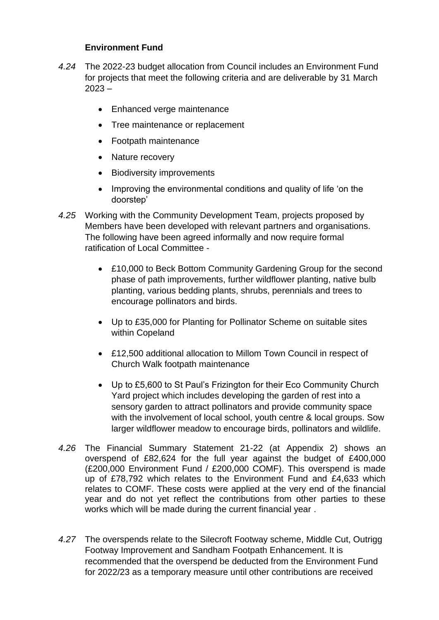### **Environment Fund**

- *4.24* The 2022-23 budget allocation from Council includes an Environment Fund for projects that meet the following criteria and are deliverable by 31 March  $2023 -$ 
	- Enhanced verge maintenance
	- Tree maintenance or replacement
	- Footpath maintenance
	- Nature recovery
	- Biodiversity improvements
	- Improving the environmental conditions and quality of life 'on the doorstep'
- *4.25* Working with the Community Development Team, projects proposed by Members have been developed with relevant partners and organisations. The following have been agreed informally and now require formal ratification of Local Committee -
	- £10,000 to Beck Bottom Community Gardening Group for the second phase of path improvements, further wildflower planting, native bulb planting, various bedding plants, shrubs, perennials and trees to encourage pollinators and birds.
	- Up to £35,000 for Planting for Pollinator Scheme on suitable sites within Copeland
	- £12,500 additional allocation to Millom Town Council in respect of Church Walk footpath maintenance
	- Up to £5,600 to St Paul's Frizington for their Eco Community Church Yard project which includes developing the garden of rest into a sensory garden to attract pollinators and provide community space with the involvement of local school, youth centre & local groups. Sow larger wildflower meadow to encourage birds, pollinators and wildlife.
- *4.26* The Financial Summary Statement 21-22 (at Appendix 2) shows an overspend of £82,624 for the full year against the budget of £400,000 (£200,000 Environment Fund / £200,000 COMF). This overspend is made up of £78,792 which relates to the Environment Fund and £4,633 which relates to COMF. These costs were applied at the very end of the financial year and do not yet reflect the contributions from other parties to these works which will be made during the current financial year .
- *4.27* The overspends relate to the Silecroft Footway scheme, Middle Cut, Outrigg Footway Improvement and Sandham Footpath Enhancement. It is recommended that the overspend be deducted from the Environment Fund for 2022/23 as a temporary measure until other contributions are received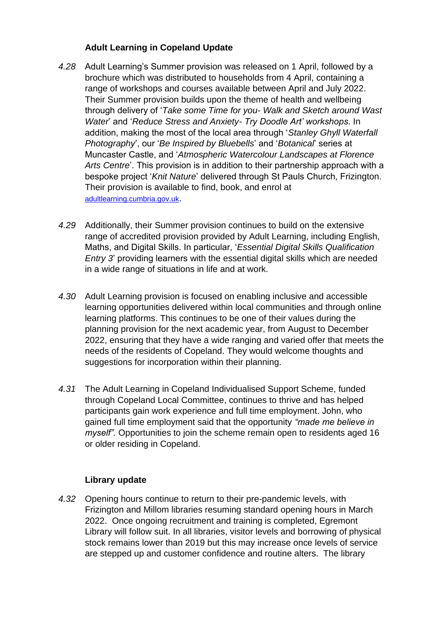### **Adult Learning in Copeland Update**

- *4.28* Adult Learning's Summer provision was released on 1 April, followed by a brochure which was distributed to households from 4 April, containing a range of workshops and courses available between April and July 2022. Their Summer provision builds upon the theme of health and wellbeing through delivery of '*Take some Time for you- Walk and Sketch around Wast Water*' and '*Reduce Stress and Anxiety- Try Doodle Art' workshops*. In addition, making the most of the local area through '*Stanley Ghyll Waterfall Photography*', our '*Be Inspired by Bluebells*' and '*Botanical*' series at Muncaster Castle, and '*Atmospheric Watercolour Landscapes at Florence Arts Centre*'. This provision is in addition to their partnership approach with a bespoke project '*Knit Nature*' delivered through St Pauls Church, Frizington. Their provision is available to find, book, and enrol at [adultlearning.cumbria.gov.uk](file://///ccc-prdc-fp10/userhome$/thorburnl/My%20Documents/AREA%20PLANNING%20MANAGER/CLC/MAY/REPORT/adultlearning.cumbria.gov.uk).
- *4.29* Additionally, their Summer provision continues to build on the extensive range of accredited provision provided by Adult Learning, including English, Maths, and Digital Skills. In particular, '*Essential Digital Skills Qualification Entry 3*' providing learners with the essential digital skills which are needed in a wide range of situations in life and at work.
- *4.30* Adult Learning provision is focused on enabling inclusive and accessible learning opportunities delivered within local communities and through online learning platforms. This continues to be one of their values during the planning provision for the next academic year, from August to December 2022, ensuring that they have a wide ranging and varied offer that meets the needs of the residents of Copeland. They would welcome thoughts and suggestions for incorporation within their planning.
- *4.31* The Adult Learning in Copeland Individualised Support Scheme, funded through Copeland Local Committee, continues to thrive and has helped participants gain work experience and full time employment. John, who gained full time employment said that the opportunity *"made me believe in myself".* Opportunities to join the scheme remain open to residents aged 16 or older residing in Copeland.

#### **Library update**

*4.32* Opening hours continue to return to their pre-pandemic levels, with Frizington and Millom libraries resuming standard opening hours in March 2022. Once ongoing recruitment and training is completed, Egremont Library will follow suit. In all libraries, visitor levels and borrowing of physical stock remains lower than 2019 but this may increase once levels of service are stepped up and customer confidence and routine alters. The library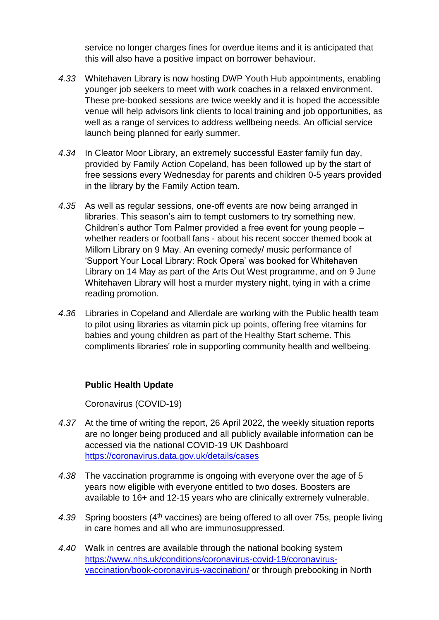service no longer charges fines for overdue items and it is anticipated that this will also have a positive impact on borrower behaviour.

- *4.33* Whitehaven Library is now hosting DWP Youth Hub appointments, enabling younger job seekers to meet with work coaches in a relaxed environment. These pre-booked sessions are twice weekly and it is hoped the accessible venue will help advisors link clients to local training and job opportunities, as well as a range of services to address wellbeing needs. An official service launch being planned for early summer.
- *4.34* In Cleator Moor Library, an extremely successful Easter family fun day, provided by Family Action Copeland, has been followed up by the start of free sessions every Wednesday for parents and children 0-5 years provided in the library by the Family Action team.
- *4.35* As well as regular sessions, one-off events are now being arranged in libraries. This season's aim to tempt customers to try something new. Children's author Tom Palmer provided a free event for young people – whether readers or football fans - about his recent soccer themed book at Millom Library on 9 May. An evening comedy/ music performance of 'Support Your Local Library: Rock Opera' was booked for Whitehaven Library on 14 May as part of the Arts Out West programme, and on 9 June Whitehaven Library will host a murder mystery night, tying in with a crime reading promotion.
- *4.36* Libraries in Copeland and Allerdale are working with the Public health team to pilot using libraries as vitamin pick up points, offering free vitamins for babies and young children as part of the Healthy Start scheme. This compliments libraries' role in supporting community health and wellbeing.

#### **Public Health Update**

Coronavirus (COVID-19)

- *4.37* At the time of writing the report, 26 April 2022, the weekly situation reports are no longer being produced and all publicly available information can be accessed via the national COVID-19 UK Dashboard <https://coronavirus.data.gov.uk/details/cases>
- *4.38* The vaccination programme is ongoing with everyone over the age of 5 years now eligible with everyone entitled to two doses. Boosters are available to 16+ and 12-15 years who are clinically extremely vulnerable.
- 4.39 Spring boosters (4<sup>th</sup> vaccines) are being offered to all over 75s, people living in care homes and all who are immunosuppressed.
- *4.40* Walk in centres are available through the national booking system [https://www.nhs.uk/conditions/coronavirus-covid-19/coronavirus](https://www.nhs.uk/conditions/coronavirus-covid-19/coronavirus-vaccination/book-coronavirus-vaccination/)[vaccination/book-coronavirus-vaccination/](https://www.nhs.uk/conditions/coronavirus-covid-19/coronavirus-vaccination/book-coronavirus-vaccination/) or through prebooking in North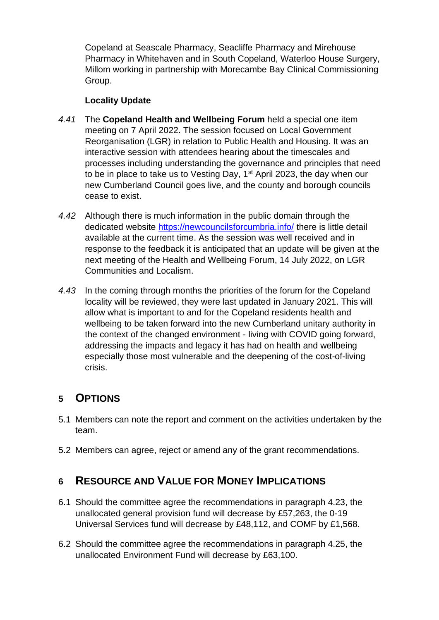Copeland at Seascale Pharmacy, Seacliffe Pharmacy and Mirehouse Pharmacy in Whitehaven and in South Copeland, Waterloo House Surgery, Millom working in partnership with Morecambe Bay Clinical Commissioning Group.

#### **Locality Update**

- *4.41* The **Copeland Health and Wellbeing Forum** held a special one item meeting on 7 April 2022. The session focused on Local Government Reorganisation (LGR) in relation to Public Health and Housing. It was an interactive session with attendees hearing about the timescales and processes including understanding the governance and principles that need to be in place to take us to Vesting Day, 1<sup>st</sup> April 2023, the day when our new Cumberland Council goes live, and the county and borough councils cease to exist.
- *4.42* Although there is much information in the public domain through the dedicated website<https://newcouncilsforcumbria.info/> there is little detail available at the current time. As the session was well received and in response to the feedback it is anticipated that an update will be given at the next meeting of the Health and Wellbeing Forum, 14 July 2022, on LGR Communities and Localism.
- *4.43* In the coming through months the priorities of the forum for the Copeland locality will be reviewed, they were last updated in January 2021. This will allow what is important to and for the Copeland residents health and wellbeing to be taken forward into the new Cumberland unitary authority in the context of the changed environment - living with COVID going forward, addressing the impacts and legacy it has had on health and wellbeing especially those most vulnerable and the deepening of the cost-of-living crisis.

# **5 OPTIONS**

- 5.1 Members can note the report and comment on the activities undertaken by the team.
- 5.2 Members can agree, reject or amend any of the grant recommendations.

# **6 RESOURCE AND VALUE FOR MONEY IMPLICATIONS**

- 6.1 Should the committee agree the recommendations in paragraph 4.23, the unallocated general provision fund will decrease by £57,263, the 0-19 Universal Services fund will decrease by £48,112, and COMF by £1,568.
- 6.2 Should the committee agree the recommendations in paragraph 4.25, the unallocated Environment Fund will decrease by £63,100.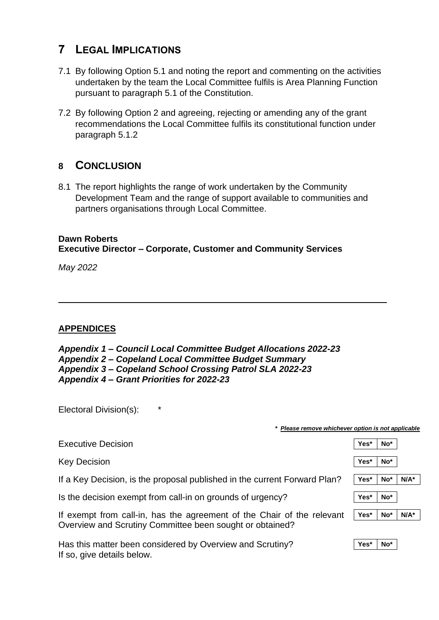# **7 LEGAL IMPLICATIONS**

- 7.1 By following Option 5.1 and noting the report and commenting on the activities undertaken by the team the Local Committee fulfils is Area Planning Function pursuant to paragraph 5.1 of the Constitution.
- 7.2 By following Option 2 and agreeing, rejecting or amending any of the grant recommendations the Local Committee fulfils its constitutional function under paragraph 5.1.2

## **8 CONCLUSION**

8.1 The report highlights the range of work undertaken by the Community Development Team and the range of support available to communities and partners organisations through Local Committee.

### **Dawn Roberts Executive Director – Corporate, Customer and Community Services**

*May 2022* 

#### **APPENDICES**

| Appendix 1 – Council Local Committee Budget Allocations 2022-23 |
|-----------------------------------------------------------------|
| <b>Appendix 2 – Copeland Local Committee Budget Summary</b>     |
| Appendix 3 – Copeland School Crossing Patrol SLA 2022-23        |
| Appendix 4 – Grant Priorities for 2022-23                       |

Electoral Division(s): \*

| Please remove whichever option is not applicable                                                                                   |      |                 |         |  |
|------------------------------------------------------------------------------------------------------------------------------------|------|-----------------|---------|--|
| <b>Executive Decision</b>                                                                                                          | Yes* | No*             |         |  |
| <b>Key Decision</b>                                                                                                                | Yes* | No*             |         |  |
| If a Key Decision, is the proposal published in the current Forward Plan?                                                          | Yes* | No*             | $N/A^*$ |  |
| Is the decision exempt from call-in on grounds of urgency?                                                                         | Yes* | No <sup>*</sup> |         |  |
| If exempt from call-in, has the agreement of the Chair of the relevant<br>Overview and Scrutiny Committee been sought or obtained? | Yes* | $No*$           | $N/A^*$ |  |
| Has this matter been considered by Overview and Scrutiny?<br>If so, give details below.                                            | Yes* | No <sup>*</sup> |         |  |